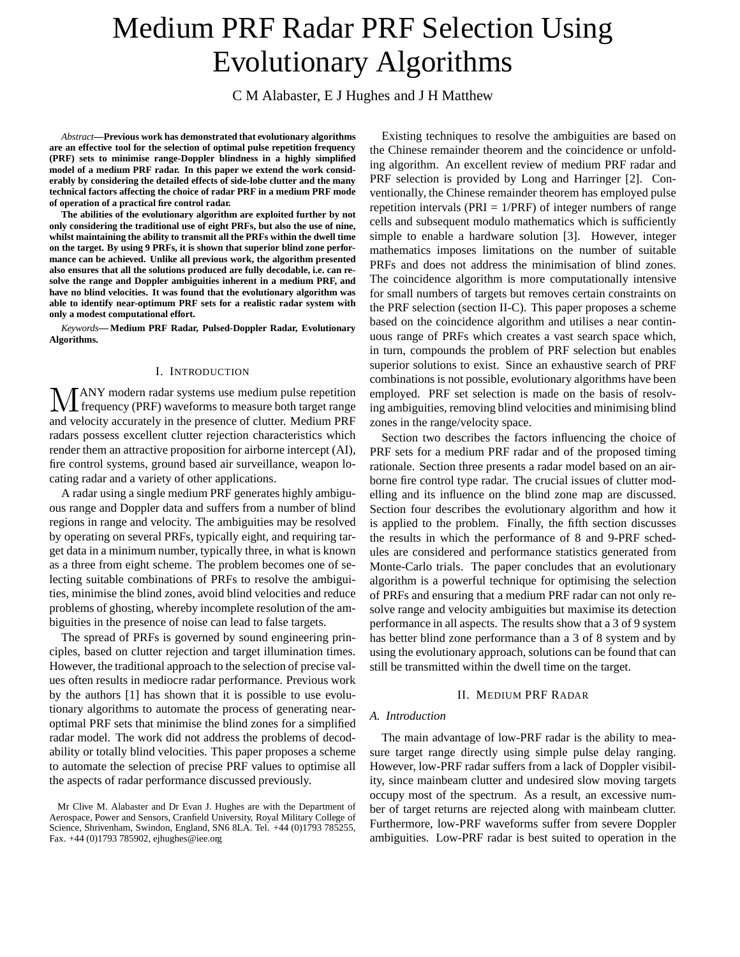# Medium PRF Radar PRF Selection Using Evolutionary Algorithms

C M Alabaster, E J Hughes and J H Matthew

*Abstract***—Previous work has demonstrated that evolutionary algorithms are an effective tool for the selection of optimal pulse repetition frequency (PRF) sets to minimise range-Doppler blindness in a highly simplified model of a medium PRF radar. In this paper we extend the work considerably by considering the detailed effects of side-lobe clutter and the many technical factors affecting the choice of radar PRF in a medium PRF mode of operation of a practical fire control radar.**

**The abilities of the evolutionary algorithm are exploited further by not only considering the traditional use of eight PRFs, but also the use of nine, whilst maintaining the ability to transmit all the PRFs within the dwell time on the target. By using 9 PRFs, it is shown that superior blind zone performance can be achieved. Unlike all previous work, the algorithm presented also ensures that all the solutions produced are fully decodable, i.e. can resolve the range and Doppler ambiguities inherent in a medium PRF, and have no blind velocities. It was found that the evolutionary algorithm was able to identify near-optimum PRF sets for a realistic radar system with only a modest computational effort.**

*Keywords***— Medium PRF Radar, Pulsed-Doppler Radar, Evolutionary Algorithms.**

## I. INTRODUCTION

ANY modern radar systems use medium pulse repetition  $\bf{l}$  frequency (PRF) waveforms to measure both target range and velocity accurately in the presence of clutter. Medium PRF radars possess excellent clutter rejection characteristics which render them an attractive proposition for airborne intercept (AI), fire control systems, ground based air surveillance, weapon locating radar and a variety of other applications.

A radar using a single medium PRF generates highly ambiguous range and Doppler data and suffers from a number of blind regions in range and velocity. The ambiguities may be resolved by operating on several PRFs, typically eight, and requiring target data in a minimum number, typically three, in what is known as a three from eight scheme. The problem becomes one of selecting suitable combinations of PRFs to resolve the ambiguities, minimise the blind zones, avoid blind velocities and reduce problems of ghosting, whereby incomplete resolution of the ambiguities in the presence of noise can lead to false targets.

The spread of PRFs is governed by sound engineering principles, based on clutter rejection and target illumination times. However, the traditional approach to the selection of precise values often results in mediocre radar performance. Previous work by the authors [1] has shown that it is possible to use evolutionary algorithms to automate the process of generating nearoptimal PRF sets that minimise the blind zones for a simplified radar model. The work did not address the problems of decodability or totally blind velocities. This paper proposes a scheme to automate the selection of precise PRF values to optimise all the aspects of radar performance discussed previously.

Existing techniques to resolve the ambiguities are based on the Chinese remainder theorem and the coincidence or unfolding algorithm. An excellent review of medium PRF radar and PRF selection is provided by Long and Harringer [2]. Conventionally, the Chinese remainder theorem has employed pulse repetition intervals ( $PRI = 1/PRF$ ) of integer numbers of range cells and subsequent modulo mathematics which is sufficiently simple to enable a hardware solution [3]. However, integer mathematics imposes limitations on the number of suitable PRFs and does not address the minimisation of blind zones. The coincidence algorithm is more computationally intensive for small numbers of targets but removes certain constraints on the PRF selection (section II-C). This paper proposes a scheme based on the coincidence algorithm and utilises a near continuous range of PRFs which creates a vast search space which, in turn, compounds the problem of PRF selection but enables superior solutions to exist. Since an exhaustive search of PRF combinations is not possible, evolutionary algorithms have been employed. PRF set selection is made on the basis of resolving ambiguities, removing blind velocities and minimising blind zones in the range/velocity space.

Section two describes the factors influencing the choice of PRF sets for a medium PRF radar and of the proposed timing rationale. Section three presents a radar model based on an airborne fire control type radar. The crucial issues of clutter modelling and its influence on the blind zone map are discussed. Section four describes the evolutionary algorithm and how it is applied to the problem. Finally, the fifth section discusses the results in which the performance of 8 and 9-PRF schedules are considered and performance statistics generated from Monte-Carlo trials. The paper concludes that an evolutionary algorithm is a powerful technique for optimising the selection of PRFs and ensuring that a medium PRF radar can not only resolve range and velocity ambiguities but maximise its detection performance in all aspects. The results show that a 3 of 9 system has better blind zone performance than a 3 of 8 system and by using the evolutionary approach, solutions can be found that can still be transmitted within the dwell time on the target.

#### II. MEDIUM PRF RADAR

#### *A. Introduction*

The main advantage of low-PRF radar is the ability to measure target range directly using simple pulse delay ranging. However, low-PRF radar suffers from a lack of Doppler visibility, since mainbeam clutter and undesired slow moving targets occupy most of the spectrum. As a result, an excessive number of target returns are rejected along with mainbeam clutter. Furthermore, low-PRF waveforms suffer from severe Doppler ambiguities. Low-PRF radar is best suited to operation in the

Mr Clive M. Alabaster and Dr Evan J. Hughes are with the Department of Aerospace, Power and Sensors, Cranfield University, Royal Military College of Science, Shrivenham, Swindon, England, SN6 8LA. Tel. +44 (0)1793 785255, Fax. +44 (0)1793 785902, ejhughes@iee.org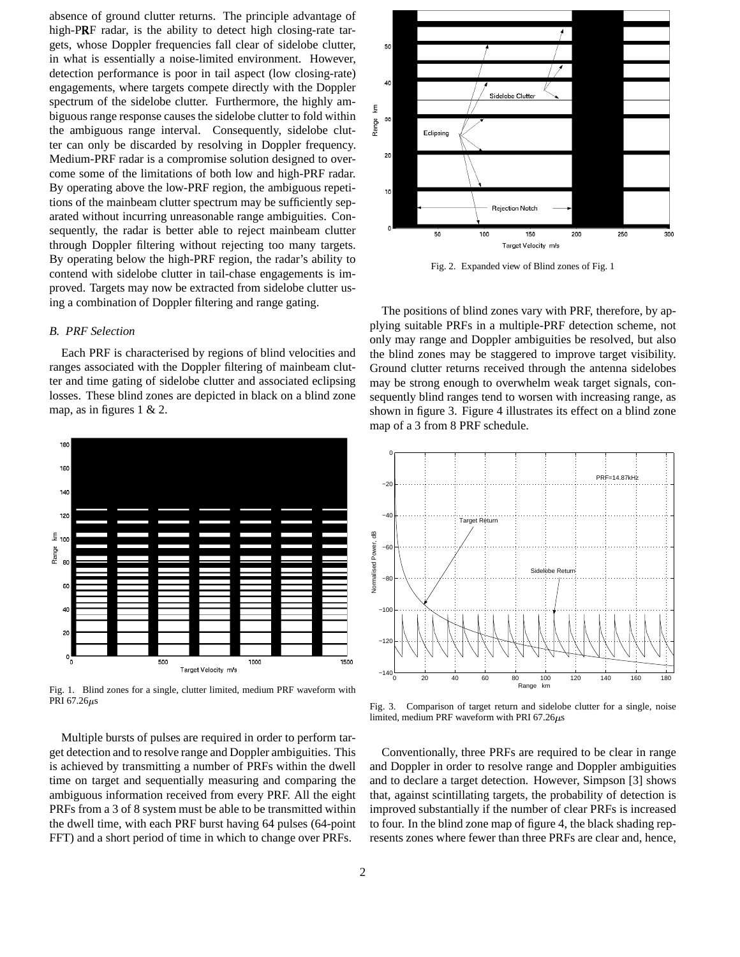absence of ground clutter returns. The principle advantage of high-PRF radar, is the ability to detect high closing-rate targets, whose Doppler frequencies fall clear of sidelobe clutter, in what is essentially a noise-limited environment. However, detection performance is poor in tail aspect (low closing-rate) engagements, where targets compete directly with the Doppler spectrum of the sidelobe clutter. Furthermore, the highly ambiguous range response causes the sidelobe clutter to fold within the ambiguous range interval. Consequently, sidelobe clutter can only be discarded by resolving in Doppler frequency. Medium-PRF radar is a compromise solution designed to overcome some of the limitations of both low and high-PRF radar. By operating above the low-PRF region, the ambiguous repetitions of the mainbeam clutter spectrum may be sufficiently separated without incurring unreasonable range ambiguities. Consequently, the radar is better able to reject mainbeam clutter through Doppler filtering without rejecting too many targets. By operating below the high-PRF region, the radar's ability to contend with sidelobe clutter in tail-chase engagements is improved. Targets may now be extracted from sidelobe clutter using a combination of Doppler filtering and range gating.

# *B. PRF Selection*

Each PRF is characterised by regions of blind velocities and ranges associated with the Doppler filtering of mainbeam clutter and time gating of sidelobe clutter and associated eclipsing losses. These blind zones are depicted in black on a blind zone map, as in figures  $1 < 2$ .



Fig. 1. Blind zones for a single, clutter limited, medium PRF waveform with PRI 67.26us

Multiple bursts of pulses are required in order to perform target detection and to resolve range and Doppler ambiguities. This is achieved by transmitting a number of PRFs within the dwell time on target and sequentially measuring and comparing the ambiguous information received from every PRF. All the eight PRFs from a 3 of 8 system must be able to be transmitted within the dwell time, with each PRF burst having 64 pulses (64-point FFT) and a short period of time in which to change over PRFs.



Fig. 2. Expanded view of Blind zones of Fig. 1

The positions of blind zones vary with PRF, therefore, by applying suitable PRFs in a multiple-PRF detection scheme, not only may range and Doppler ambiguities be resolved, but also the blind zones may be staggered to improve target visibility. Ground clutter returns received through the antenna sidelobes may be strong enough to overwhelm weak target signals, consequently blind ranges tend to worsen with increasing range, as shown in figure 3. Figure 4 illustrates its effect on a blind zone map of a 3 from 8 PRF schedule.



Fig. 3. Comparison of target return and sidelobe clutter for a single, noise limited, medium PRF waveform with PRI 67.26 $\mu$ s

Conventionally, three PRFs are required to be clear in range and Doppler in order to resolve range and Doppler ambiguities and to declare a target detection. However, Simpson [3] shows that, against scintillating targets, the probability of detection is improved substantially if the number of clear PRFs is increased to four. In the blind zone map of figure 4, the black shading represents zones where fewer than three PRFs are clear and, hence,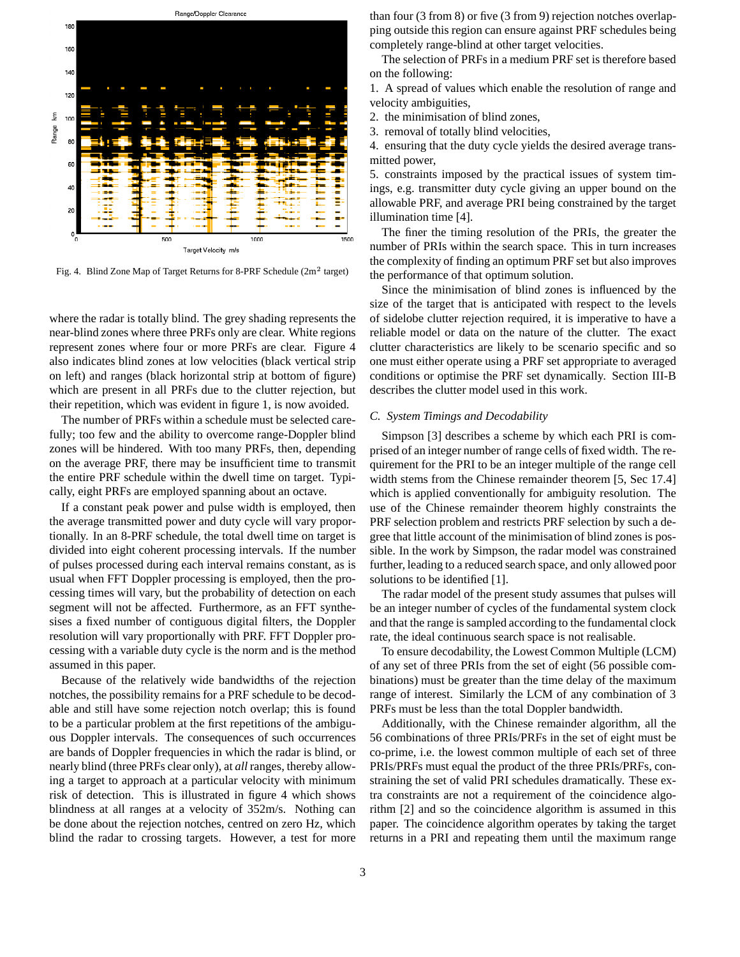

Fig. 4. Blind Zone Map of Target Returns for 8-PRF Schedule  $(2m^2 \text{ target})$ 

where the radar is totally blind. The grey shading represents the near-blind zones where three PRFs only are clear. White regions represent zones where four or more PRFs are clear. Figure 4 also indicates blind zones at low velocities (black vertical strip on left) and ranges (black horizontal strip at bottom of figure) which are present in all PRFs due to the clutter rejection, but their repetition, which was evident in figure 1, is now avoided.

The number of PRFs within a schedule must be selected carefully; too few and the ability to overcome range-Doppler blind zones will be hindered. With too many PRFs, then, depending on the average PRF, there may be insufficient time to transmit the entire PRF schedule within the dwell time on target. Typically, eight PRFs are employed spanning about an octave.

If a constant peak power and pulse width is employed, then the average transmitted power and duty cycle will vary proportionally. In an 8-PRF schedule, the total dwell time on target is divided into eight coherent processing intervals. If the number of pulses processed during each interval remains constant, as is usual when FFT Doppler processing is employed, then the processing times will vary, but the probability of detection on each segment will not be affected. Furthermore, as an FFT synthesises a fixed number of contiguous digital filters, the Doppler resolution will vary proportionally with PRF. FFT Doppler processing with a variable duty cycle is the norm and is the method assumed in this paper.

Because of the relatively wide bandwidths of the rejection notches, the possibility remains for a PRF schedule to be decodable and still have some rejection notch overlap; this is found to be a particular problem at the first repetitions of the ambiguous Doppler intervals. The consequences of such occurrences are bands of Doppler frequencies in which the radar is blind, or nearly blind (three PRFs clear only), at *all* ranges, thereby allowing a target to approach at a particular velocity with minimum risk of detection. This is illustrated in figure 4 which shows blindness at all ranges at a velocity of 352m/s. Nothing can be done about the rejection notches, centred on zero Hz, which blind the radar to crossing targets. However, a test for more than four (3 from 8) or five (3 from 9) rejection notches overlapping outside this region can ensure against PRF schedules being completely range-blind at other target velocities.

The selection of PRFs in a medium PRF set is therefore based on the following:

1. A spread of values which enable the resolution of range and velocity ambiguities,

2. the minimisation of blind zones,

3. removal of totally blind velocities,

4. ensuring that the duty cycle yields the desired average transmitted power,

5. constraints imposed by the practical issues of system timings, e.g. transmitter duty cycle giving an upper bound on the allowable PRF, and average PRI being constrained by the target illumination time [4].

The finer the timing resolution of the PRIs, the greater the number of PRIs within the search space. This in turn increases the complexity of finding an optimum PRF set but also improves the performance of that optimum solution.

Since the minimisation of blind zones is influenced by the size of the target that is anticipated with respect to the levels of sidelobe clutter rejection required, it is imperative to have a reliable model or data on the nature of the clutter. The exact clutter characteristics are likely to be scenario specific and so one must either operate using a PRF set appropriate to averaged conditions or optimise the PRF set dynamically. Section III-B describes the clutter model used in this work.

## *C. System Timings and Decodability*

Simpson [3] describes a scheme by which each PRI is comprised of an integer number of range cells of fixed width. The requirement for the PRI to be an integer multiple of the range cell width stems from the Chinese remainder theorem [5, Sec 17.4] which is applied conventionally for ambiguity resolution. The use of the Chinese remainder theorem highly constraints the PRF selection problem and restricts PRF selection by such a degree that little account of the minimisation of blind zones is possible. In the work by Simpson, the radar model was constrained further, leading to a reduced search space, and only allowed poor solutions to be identified [1].

The radar model of the present study assumes that pulses will be an integer number of cycles of the fundamental system clock and that the range is sampled according to the fundamental clock rate, the ideal continuous search space is not realisable.

To ensure decodability, the Lowest Common Multiple (LCM) of any set of three PRIs from the set of eight (56 possible combinations) must be greater than the time delay of the maximum range of interest. Similarly the LCM of any combination of 3 PRFs must be less than the total Doppler bandwidth.

Additionally, with the Chinese remainder algorithm, all the 56 combinations of three PRIs/PRFs in the set of eight must be co-prime, i.e. the lowest common multiple of each set of three PRIs/PRFs must equal the product of the three PRIs/PRFs, constraining the set of valid PRI schedules dramatically. These extra constraints are not a requirement of the coincidence algorithm [2] and so the coincidence algorithm is assumed in this paper. The coincidence algorithm operates by taking the target returns in a PRI and repeating them until the maximum range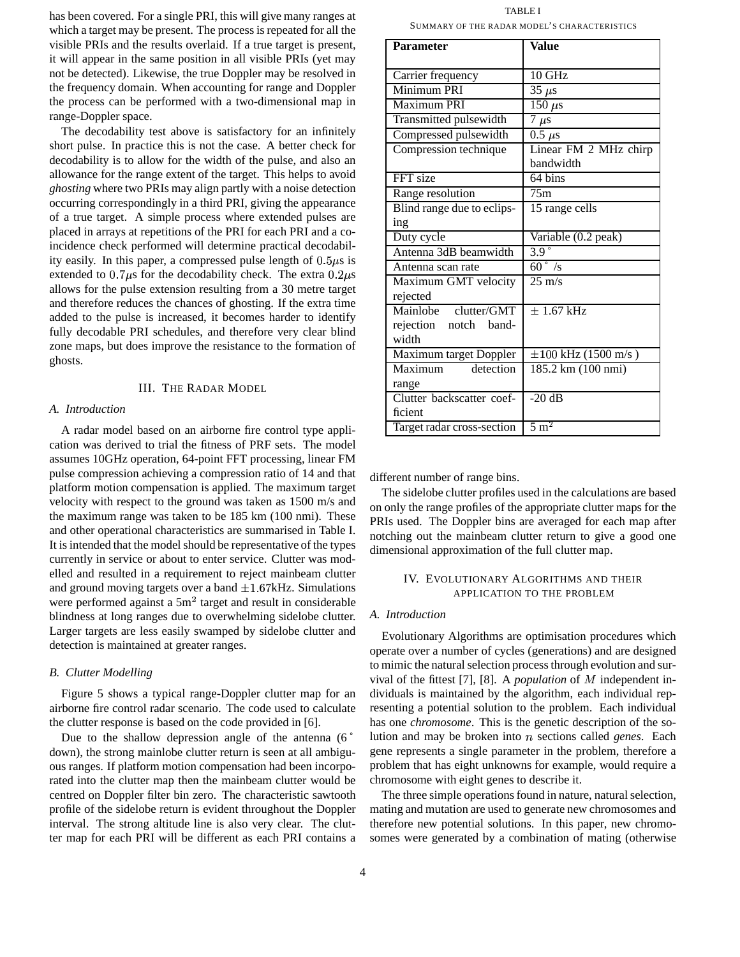has been covered. For a single PRI, this will give many ranges at which a target may be present. The process is repeated for all the visible PRIs and the results overlaid. If a true target is present, it will appear in the same position in all visible PRIs (yet may not be detected). Likewise, the true Doppler may be resolved in the frequency domain. When accounting for range and Doppler the process can be performed with a two-dimensional map in range-Doppler space.

The decodability test above is satisfactory for an infinitely short pulse. In practice this is not the case. A better check for decodability is to allow for the width of the pulse, and also an allowance for the range extent of the target. This helps to avoid *ghosting* where twoPRIs may align partly with a noise detection occurring correspondingly in a third PRI, giving the appearance of a true target. A simple process where extended pulses are placed in arrays at repetitions of the PRI for each PRI and a coincidence check performed will determine practical decodability easily. In this paper, a compressed pulse length of  $0.5\mu s$  is extended to  $0.7 \mu s$  for the decodability check. The extra  $0.2 \mu s$ allows for the pulse extension resulting from a 30 metre target and therefore reduces the chances of ghosting. If the extra time added to the pulse is increased, it becomes harder to identify fully decodable PRI schedules, and therefore very clear blind zone maps, but does improve the resistance to the formation of ghosts.

#### III. THE RADAR MODEL

#### *A. Introduction*

A radar model based on an airborne fire control type application was derived to trial the fitness of PRF sets. The model assumes 10GHz operation, 64-point FFT processing, linear FM pulse compression achieving a compression ratio of 14 and that platform motion compensation is applied. The maximum target velocity with respect to the ground was taken as 1500 m/s and the maximum range was taken to be 185 km (100 nmi). These and other operational characteristics are summarised in Table I. It is intended that the model should be representative of the types currently in service or about to enter service. Clutter was modelled and resulted in a requirement to reject mainbeam clutter and ground moving targets over a band  $\pm 1.67$  kHz. Simulations were performed against a  $5m<sup>2</sup>$  target and result in considerable blindness at long ranges due to overwhelming sidelobe clutter. Larger targets are less easily swamped by sidelobe clutter and detection is maintained at greater ranges.

### *B. Clutter Modelling*

Figure 5 shows a typical range-Doppler clutter map for an airborne fire control radar scenario. The code used to calculate the clutter response is based on the code provided in [6].

Due to the shallow depression angle of the antenna (6<sup>°</sup> down), the strong mainlobe clutter return is seen at all ambiguous ranges. If platform motion compensation had been incorporated into the clutter map then the mainbeam clutter would be centred on Doppler filter bin zero. The characteristic sawtooth profile of the sidelobe return is evident throughout the Doppler interval. The strong altitude line is also very clear. The clutter map for each PRI will be different as each PRI contains a

TABLE I SUMMARY OF THE RADAR MODEL'S CHARACTERISTICS

| <b>Parameter</b>           | Value                               |  |  |
|----------------------------|-------------------------------------|--|--|
|                            |                                     |  |  |
| Carrier frequency          | $10 \overline{\text{GHz}}$          |  |  |
| Minimum PRI                | $35 \mu s$                          |  |  |
| Maximum PRI                | $\frac{150 \text{ }\mu\text{s}}{2}$ |  |  |
| Transmitted pulsewidth     | $7 \mu s$                           |  |  |
| Compressed pulsewidth      | $0.5 \ \mu s$                       |  |  |
| Compression technique      | Linear FM 2 MHz chirp               |  |  |
|                            | bandwidth                           |  |  |
| FFT size                   | 64 bins                             |  |  |
| Range resolution           | 75m                                 |  |  |
| Blind range due to eclips- | 15 range cells                      |  |  |
| ing                        |                                     |  |  |
| Duty cycle                 | Variable (0.2 peak)                 |  |  |
| Antenna 3dB beamwidth      | 3.9 <sup>°</sup>                    |  |  |
| Antenna scan rate          | $60 \degree$ /s                     |  |  |
| Maximum GMT velocity       | $25 \text{ m/s}$                    |  |  |
| rejected                   |                                     |  |  |
| Mainlobe clutter/GMT       | $\pm 1.67$ kHz                      |  |  |
| rejection notch<br>band-   |                                     |  |  |
| width                      |                                     |  |  |
| Maximum target Doppler     | $\pm 100$ kHz (1500 m/s)            |  |  |
| Maximum<br>detection       | 185.2 km (100 nmi)                  |  |  |
| range                      |                                     |  |  |
| Clutter backscatter coef-  | $-20$ dB                            |  |  |
| ficient                    |                                     |  |  |
| Target radar cross-section | $5 \,\mathrm{m}^2$                  |  |  |

different number of range bins.

The sidelobe clutter profiles used in the calculations are based on only the range profiles of the appropriate clutter maps for the PRIs used. The Doppler bins are averaged for each map after notching out the mainbeam clutter return to give a good one dimensional approximation of the full clutter map.

## IV. EVOLUTIONARY ALGORITHMS AND THEIR APPLICATION TO THE PROBLEM

#### *A. Introduction*

Evolutionary Algorithms are optimisation procedures which operate over a number of cycles (generations) and are designed to mimic the natural selection process through evolution and survival of the fittest [7], [8]. A *population* of  $M$  independent individuals is maintained by the algorithm, each individual representing a potential solution to the problem. Each individual has one *chromosome*. This is the genetic description of the solution and may be broken into *n* sections called *genes*. Each gene represents a single parameter in the problem, therefore a problem that has eight unknowns for example, would require a chromosome with eight genes to describe it.

The three simple operations found in nature, natural selection, mating and mutation are used to generate new chromosomes and therefore new potential solutions. In this paper, new chromosomes were generated by a combination of mating (otherwise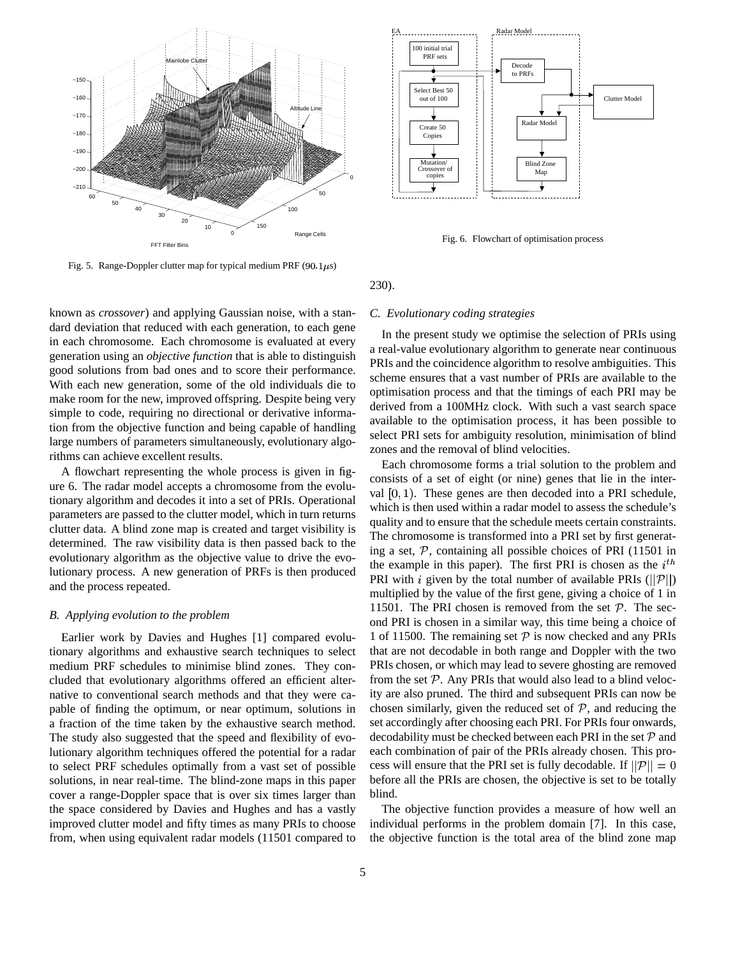



Fig. 6. Flowchart of optimisation process

Fig. 5. Range-Doppler clutter map for typical medium PRF (90.1 $\mu$ s)

known as *crossover*) and applying Gaussian noise, with a standard deviation that reduced with each generation, to each gene in each chromosome. Each chromosome is evaluated at every generation using an *objective function* that is able to distinguish good solutions from bad ones and to score their performance. With each new generation, some of the old individuals die to make room for the new, improved offspring. Despite being very simple to code, requiring no directional or derivative information from the objective function and being capable of handling large numbers of parameters simultaneously, evolutionary algorithms can achieve excellent results.

A flowchart representing the whole process is given in figure 6. The radar model accepts a chromosome from the evolutionary algorithm and decodes it into a set of PRIs. Operational parameters are passed to the clutter model, which in turn returns clutter data. A blind zone map is created and target visibility is determined. The raw visibility data is then passed back to the evolutionary algorithm as the objective value to drive the evolutionary process. A new generation of PRFs is then produced and the process repeated.

### *B. Applying evolution to the problem*

Earlier work by Davies and Hughes [1] compared evolutionary algorithms and exhaustive search techniques to select medium PRF schedules to minimise blind zones. They concluded that evolutionary algorithms offered an efficient alternative to conventional search methods and that they were capable of finding the optimum, or near optimum, solutions in a fraction of the time taken by the exhaustive search method. The study also suggested that the speed and flexibility of evolutionary algorithm techniques offered the potential for a radar to select PRF schedules optimally from a vast set of possible solutions, in near real-time. The blind-zone maps in this paper cover a range-Doppler space that is over six times larger than the space considered by Davies and Hughes and has a vastly improved clutter model and fifty times as many PRIs to choose from, when using equivalent radar models (11501 compared to

230).

## *C. Evolutionary coding strategies*

In the present study we optimise the selection of PRIs using a real-value evolutionary algorithm to generate near continuous PRIs and the coincidence algorithm to resolve ambiguities. This scheme ensures that a vast number of PRIs are available to the optimisation process and that the timings of each PRI may be derived from a 100MHz clock. With such a vast search space available to the optimisation process, it has been possible to select PRI sets for ambiguity resolution, minimisation of blind zones and the removal of blind velocities.

Each chromosome forms a trial solution to the problem and consists of a set of eight (or nine) genes that lie in the interval  $[0, 1)$ . These genes are then decoded into a PRI schedule, which is then used within a radar model to assess the schedule's quality and to ensure that the schedule meets certain constraints. The chromosome is transformed into a PRI set by first generating a set,  $P$ , containing all possible choices of PRI (11501 in the example in this paper). The first PRI is chosen as the  $i<sup>th</sup>$ PRI with i given by the total number of available PRIs ( $||P||$ ) multiplied by the value of the first gene, giving a choice of 1 in 11501. The PRI chosen is removed from the set  $P$ . The second PRI is chosen in a similar way, this time being a choice of 1 of 11500. The remaining set  $P$  is now checked and any PRIs that are not decodable in both range and Doppler with the two PRIs chosen, or which may lead to severe ghosting are removed from the set  $P$ . Any PRIs that would also lead to a blind velocity are also pruned. The third and subsequent PRIs can now be chosen similarly, given the reduced set of  $P$ , and reducing the set accordingly after choosing each PRI. For PRIs four onwards, decodability must be checked between each PRI in the set  $P$  and each combination of pair of the PRIs already chosen. This process will ensure that the PRI set is fully decodable. If  $||P|| = 0$ before all the PRIs are chosen, the objective is set to be totally blind.

The objective function provides a measure of how well an individual performs in the problem domain [7]. In this case, the objective function is the total area of the blind zone map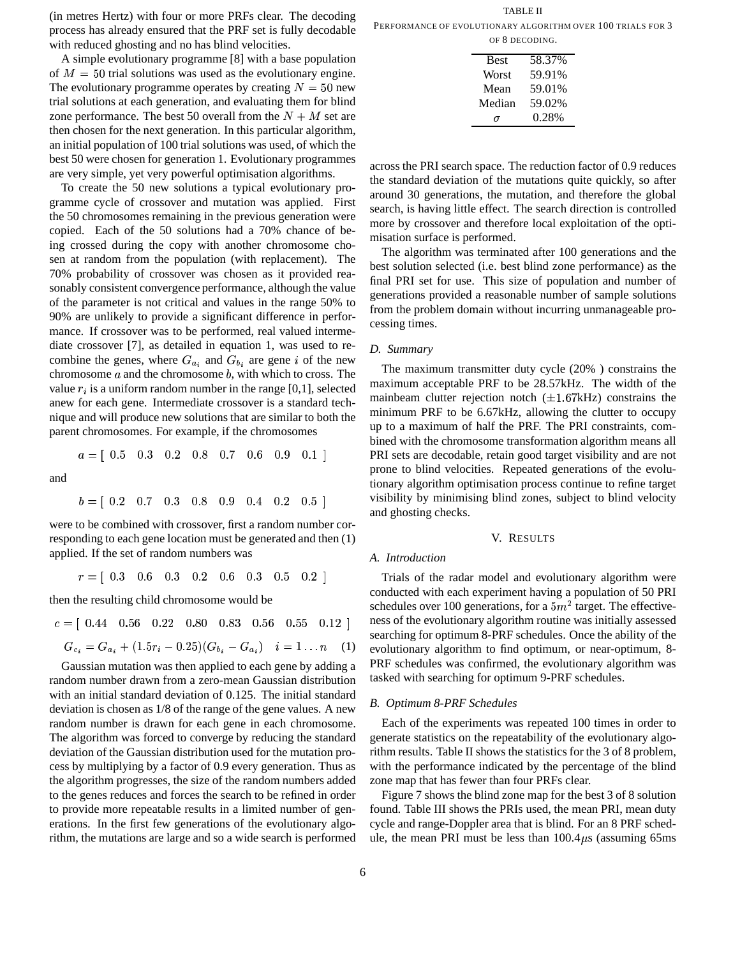(in metres Hertz) with four or more PRFs clear. The decoding process has already ensured that the PRF set is fully decodable with reduced ghosting and no has blind velocities.

A simple evolutionary programme [8] with a base population of  $M = 50$  trial solutions was used as the evolutionary engine. The evolutionary programme operates by creating  $N=50$  new trial solutions at each generation, and evaluating them for blind zone performance. The best 50 overall from the  $N+M$  set are then chosen for the next generation. In this particular algorithm, an initial population of 100 trial solutions was used, of which the best 50 were chosen for generation 1. Evolutionary programmes are very simple, yet very powerful optimisation algorithms.

To create the 50 new solutions a typical evolutionary programme cycle of crossover and mutation was applied. First the 50 chromosomes remaining in the previous generation were copied. Each of the 50 solutions had a 70% chance of being crossed during the copy with another chromosome chosen at random from the population (with replacement). The 70% probability of crossover was chosen as it provided reasonably consistent convergence performance, although the value of the parameter is not critical and values in the range 50% to 90% are unlikely to provide a significant difference in performance. If crossover was to be performed, real valued intermediate crossover [7], as detailed in equation 1, was used to recombine the genes, where  $G_{a_i}$  and  $G_{b_i}$  are gene i of the new chromosome  $a$  and the chromosome  $b$ , with which to cross. The value  $r_i$  is a uniform random number in the range [0,1], selected anew for each gene. Intermediate crossover is a standard technique and will produce new solutions that are similar to both the parent chromosomes. For example, if the chromosomes

we provide the state of the state of the state of the state of the state of the state of the state of the state of the state of the state of the state of the state of the state of the state of the state of the state of the

and

$$
b = [ \begin{array}{cccccc} 0.2 & 0.7 & 0.3 & 0.8 & 0.9 & 0.4 & 0.2 & 0.5 \end{array} ]
$$

were to be combined with crossover, first a random number corresponding to each gene location must be generated and then (1) applied. If the set of random numbers was

r i viv viv vis vis viv viv vis vis

then the resulting child chromosome would be

$$
c = [ \begin{array}{cccccc} 0.44 & 0.56 & 0.22 & 0.80 & 0.83 & 0.56 & 0.55 & 0.12 \end{array} ] \begin{array}{c} \text{nes} \\ \text{ses} \\ \text{sea} \end{array}
$$
  

$$
G_{c_i} = G_{a_i} + (1.5r_i - 0.25)(G_{b_i} - G_{a_i}) \quad i = 1...n \quad (1)
$$

Gaussian mutation was then applied to each gene by adding a random number drawn from a zero-mean Gaussian distribution with an initial standard deviation of 0.125. The initial standard deviation is chosen as 1/8 of the range of the gene values. A new random number is drawn for each gene in each chromosome. The algorithm was forced to converge by reducing the standard deviation of the Gaussian distribution used for the mutation process by multiplying by a factor of 0.9 every generation. Thus as the algorithm progresses, the size of the random numbers added to the genes reduces and forces the search to be refined in order to provide more repeatable results in a limited number of generations. In the first few generations of the evolutionary algorithm, the mutations are large and so a wide search is performed

TABLE II PERFORMANCE OF EVOLUTIONARY ALGORITHM OVER 100 TRIALS FOR 3 OF 8 DECODING.

| <b>Best</b> | 58.37% |
|-------------|--------|
| Worst       | 59.91% |
| Mean        | 59.01% |
| Median      | 59.02% |
|             | 0.28%  |

across the PRI search space. The reduction factor of 0.9 reduces the standard deviation of the mutations quite quickly, so after around 30 generations, the mutation, and therefore the global search, is having little effect. The search direction is controlled more by crossover and therefore local exploitation of the optimisation surface is performed.

The algorithm was terminated after 100 generations and the best solution selected (i.e. best blind zone performance) as the final PRI set for use. This size of population and number of generations provided a reasonable number of sample solutions from the problem domain without incurring unmanageable processing times.

#### *D. Summary*

The maximum transmitter duty cycle (20% ) constrains the maximum acceptable PRF to be 28.57kHz. The width of the mainbeam clutter rejection notch  $(\pm 1.67 \text{kHz})$  constrains the minimum PRF to be 6.67kHz, allowing the clutter to occupy up to a maximum of half the PRF. The PRI constraints, combined with the chromosome transformation algorithm means all PRI sets are decodable, retain good target visibility and are not prone to blind velocities. Repeated generations of the evolutionary algorithm optimisation process continue to refine target visibility by minimising blind zones, subject to blind velocity and ghosting checks.

# V. RESULTS

## *A. Introduction*

Trials of the radar model and evolutionary algorithm were conducted with each experiment having a population of 50 PRI schedules over 100 generations, for a  $5m^2$  target. The effectiveness of the evolutionary algorithm routine was initially assessed searching for optimum 8-PRF schedules. Once the ability of the evolutionary algorithm to find optimum, or near-optimum, 8- PRF schedules was confirmed, the evolutionary algorithm was tasked with searching for optimum 9-PRF schedules.

## *B. Optimum 8-PRF Schedules*

Each of the experiments was repeated 100 times in order to generate statistics on the repeatability of the evolutionary algorithm results. Table II shows the statistics for the 3 of 8 problem, with the performance indicated by the percentage of the blind zone map that has fewer than four PRFs clear.

Figure 7 shows the blind zone map for the best 3 of 8 solution found. Table III shows the PRIs used, the mean PRI, mean duty cycle and range-Doppler area that is blind. For an 8 PRF schedule, the mean PRI must be less than  $100.4\mu s$  (assuming 65ms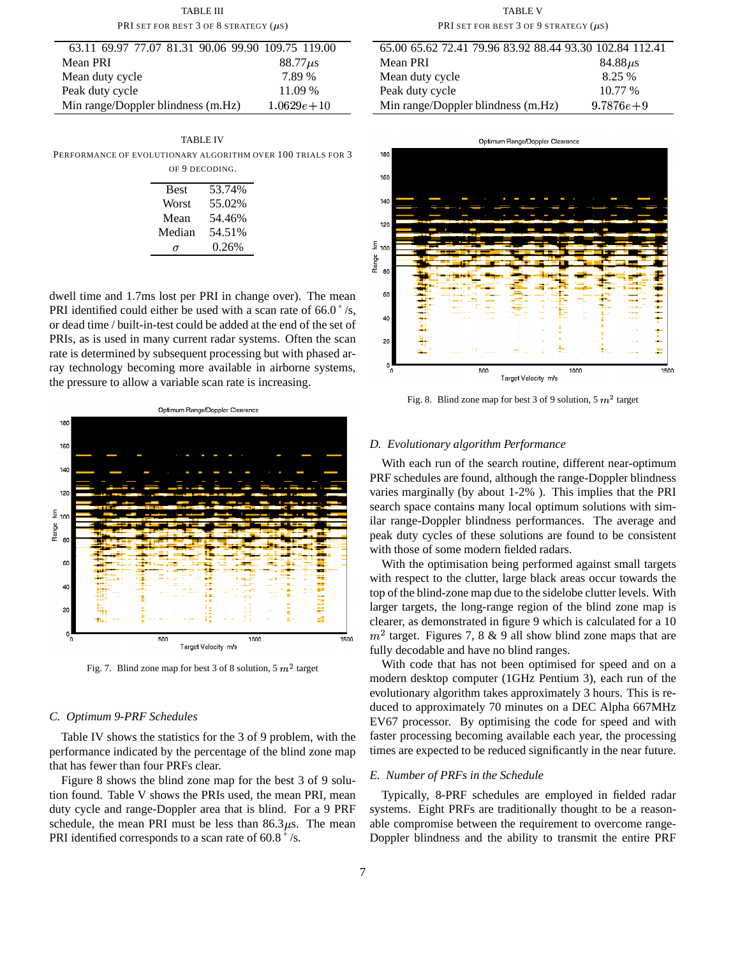TABLE III PRI SET FOR BEST 3 OF 8 STRATEGY  $(\mu s)$ 

| 63.11 69.97 77.07 81.31 90.06 99.90 109.75 119.00 |  |                |  |
|---------------------------------------------------|--|----------------|--|
|                                                   |  |                |  |
| Mean PRI                                          |  | $88.77 \mu s$  |  |
|                                                   |  | 7.89%          |  |
| Mean duty cycle                                   |  |                |  |
| Peak duty cycle                                   |  | 11.09 %        |  |
|                                                   |  |                |  |
| Min range/Doppler blindness (m.Hz)                |  | $1.0629e + 10$ |  |
|                                                   |  |                |  |

TABLE IV PERFORMANCE OF EVOLUTIONARY ALGORITHM OVER 100 TRIALS FOR 3 OF 9 DECODING.

| <b>Best</b> | 53.74% |
|-------------|--------|
| Worst       | 55.02% |
| Mean        | 54.46% |
| Median      | 54.51% |
|             | 0.26%  |

dwell time and 1.7ms lost per PRI in change over). The mean PRI identified could either be used with a scan rate of 66.0 ˚ /s, or dead time / built-in-test could be added at the end of the set of PRIs, as is used in many current radar systems. Often the scan rate is determined by subsequent processing but with phased array technology becoming more available in airborne systems, the pressure to allow a variable scan rate is increasing.



Fig. 7. Blind zone map for best 3 of 8 solution, 5  $m<sup>2</sup>$  target

### *C. Optimum 9-PRF Schedules*

Table IV shows the statistics for the 3 of 9 problem, with the performance indicated by the percentage of the blind zone map that has fewer than four PRFs clear.

Figure 8 shows the blind zone map for the best 3 of 9 solution found. Table V shows the PRIs used, the mean PRI, mean duty cycle and range-Doppler area that is blind. For a 9 PRF schedule, the mean PRI must be less than  $86.3\mu s$ . The mean PRI identified corresponds to a scan rate of 60.8 ˚ /s.

TABLE V PRI SET FOR BEST 3 OF 9 STRATEGY  $(\mu s)$ 

| 65.00 65.62 72.41 79.96 83.92 88.44 93.30 102.84 112.41 |                |
|---------------------------------------------------------|----------------|
| Mean PRI                                                | $84.88\,\mu s$ |
| Mean duty cycle                                         | 8.25 %         |
| Peak duty cycle                                         | 10.77 %        |
| Min range/Doppler blindness (m.Hz)                      | $9.7876e+9$    |



Fig. 8. Blind zone map for best 3 of 9 solution, 5  $m<sup>2</sup>$  target

## *D. Evolutionary algorithm Performance*

With each run of the search routine, different near-optimum PRF schedules are found, although the range-Doppler blindness varies marginally (by about 1-2% ). This implies that the PRI search space contains many local optimum solutions with similar range-Doppler blindness performances. The average and peak duty cycles of these solutions are found to be consistent with those of some modern fielded radars.

With the optimisation being performed against small targets with respect to the clutter, large black areas occur towards the top of the blind-zone map due to the sidelobe clutter levels. With larger targets, the long-range region of the blind zone map is clearer, as demonstrated in figure 9 which is calculated for a 10  $m<sup>2</sup>$  target. Figures 7, 8 & 9 all show blind zone maps that are fully decodable and have no blind ranges.

With code that has not been optimised for speed and on a modern desktop computer (1GHz Pentium 3), each run of the evolutionary algorithm takes approximately 3 hours. This is reduced to approximately 70 minutes on a DEC Alpha 667MHz EV67 processor. By optimising the code for speed and with faster processing becoming available each year, the processing times are expected to be reduced significantly in the near future.

## *E. Number of PRFs in the Schedule*

Typically, 8-PRF schedules are employed in fielded radar systems. Eight PRFs are traditionally thought to be a reasonable compromise between the requirement to overcome range-Doppler blindness and the ability to transmit the entire PRF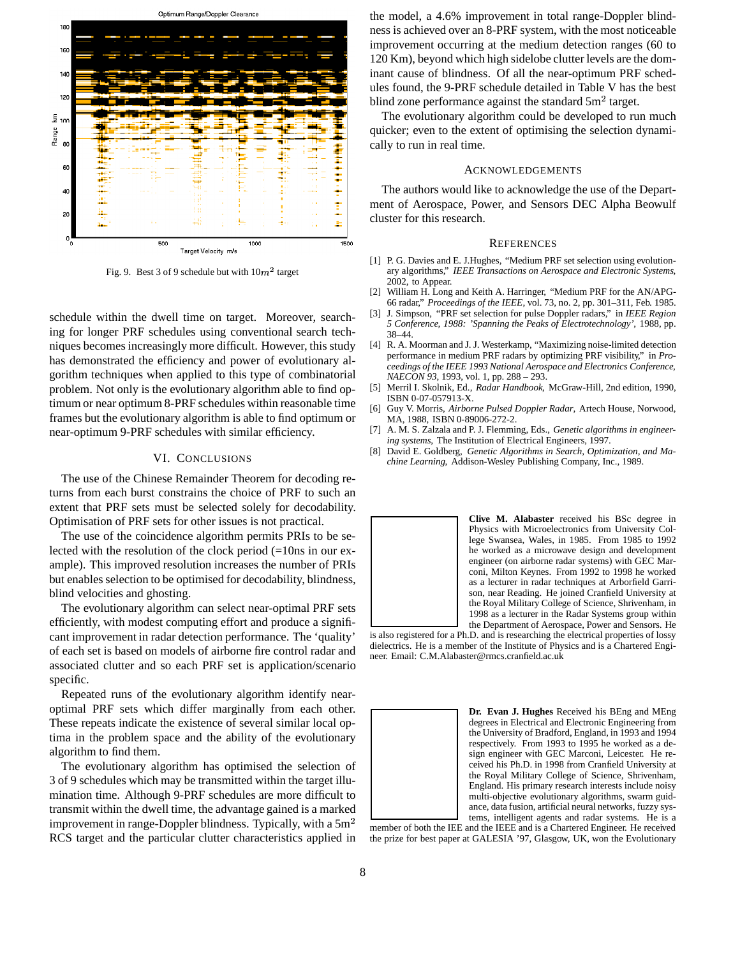

Fig. 9. Best 3 of 9 schedule but with  $10m^2$  target

schedule within the dwell time on target. Moreover, searching for longer PRF schedules using conventional search techniques becomes increasingly more difficult. However, this study has demonstrated the efficiency and power of evolutionary algorithm techniques when applied to this type of combinatorial problem. Not only is the evolutionary algorithm able to find optimum or near optimum 8-PRF schedules within reasonable time frames but the evolutionary algorithm is able to find optimum or near-optimum 9-PRF schedules with similar efficiency.

### VI. CONCLUSIONS

The use of the Chinese Remainder Theorem for decoding returns from each burst constrains the choice of PRF to such an extent that PRF sets must be selected solely for decodability. Optimisation of PRF sets for other issues is not practical.

The use of the coincidence algorithm permits PRIs to be selected with the resolution of the clock period (=10ns in our example). This improved resolution increases the number of PRIs but enables selection to be optimised for decodability, blindness, blind velocities and ghosting.

The evolutionary algorithm can select near-optimal PRF sets efficiently, with modest computing effort and produce a significant improvement in radar detection performance. The 'quality' of each set is based on models of airborne fire control radar and associated clutter and so each PRF set is application/scenario specific.

Repeated runs of the evolutionary algorithm identify nearoptimal PRF sets which differ marginally from each other. These repeats indicate the existence of several similar local optima in the problem space and the ability of the evolutionary algorithm to find them.

The evolutionary algorithm has optimised the selection of 3 of 9 schedules which may be transmitted within the targetillumination time. Although 9-PRF schedules are more difficult to transmit within the dwell time, the advantage gained is a marked improvement in range-Doppler blindness. Typically, with a  $5m<sup>2</sup>$ RCS target and the particular clutter characteristics applied in the model, a 4.6% improvement in total range-Doppler blindness is achieved over an 8-PRF system, with the most noticeable improvement occurring at the medium detection ranges (60 to 120 Km), beyond which high sidelobe clutter levels are the dominant cause of blindness. Of all the near-optimum PRF schedules found, the 9-PRF schedule detailed in Table V has the best blind zone performance against the standard  $5m<sup>2</sup>$  target.

The evolutionary algorithm could be developed to run much quicker; even to the extent of optimising the selection dynamically to run in real time.

### ACKNOWLEDGEMENTS

The authors would like to acknowledge the use of the Department of Aerospace, Power, and Sensors DEC Alpha Beowulf cluster for this research.

#### **REFERENCES**

- [1] P. G. Davies and E. J.Hughes, "Medium PRF set selection using evolutionary algorithms," *IEEE Transactions on Aerospace and Electronic Systems*, 2002, to Appear.
- [2] William H. Long and Keith A. Harringer, "Medium PRF for the AN/APG-66 radar," *Proceedings of the IEEE*, vol. 73, no. 2, pp. 301–311, Feb. 1985.
- [3] J. Simpson, "PRF set selection for pulse Doppler radars," in *IEEE Region 5 Conference, 1988: 'Spanning the Peaks of Electrotechnology'*, 1988, pp. 38–44.
- [4] R. A. Moorman and J. J. Westerkamp, "Maximizing noise-limited detection performance in medium PRF radars by optimizing PRF visibility," in *Proceedings of the IEEE 1993 National Aerospace and Electronics Conference, NAECON 93*, 1993, vol. 1, pp. 288 – 293.
- [5] Merril I. Skolnik, Ed., *Radar Handbook*, McGraw-Hill, 2nd edition, 1990, ISBN 0-07-057913-X.
- [6] Guy V. Morris, *Airborne Pulsed Doppler Radar*, Artech House, Norwood, MA, 1988, ISBN 0-89006-272-2.
- [7] A. M. S. Zalzala and P. J. Flemming, Eds., *Genetic algorithms in engineering systems*, The Institution of Electrical Engineers, 1997.
- [8] David E. Goldberg, *Genetic Algorithms in Search, Optimization, and Machine Learning*, Addison-Wesley Publishing Company, Inc., 1989.



**Clive M. Alabaster** received his BSc degree in Physics with Microelectronics from University College Swansea, Wales, in 1985. From 1985 to 1992 he worked as a microwave design and development engineer (on airborne radar systems) with GEC Marconi, Milton Keynes. From 1992 to 1998 he worked as a lecturer in radar techniques at Arborfield Garrison, near Reading. He joined Cranfield University at the Royal Military College of Science, Shrivenham, in 1998 as a lecturer in the Radar Systems group within the Department of Aerospace, Power and Sensors. He

is also registered for a Ph.D. and is researching the electrical properties of lossy dielectrics. He is a member of the Institute of Physics and is a Chartered Engineer. Email: C.M.Alabaster@rmcs.cranfield.ac.uk



**Dr. Evan J. Hughes** Received his BEng and MEng degrees in Electrical and Electronic Engineering from the University of Bradford, England, in 1993 and 1994 respectively. From 1993 to 1995 he worked as a design engineer with GEC Marconi, Leicester. He received his Ph.D. in 1998 from Cranfield University at the Royal Military College of Science, Shrivenham, England. His primary research interests include noisy multi-objective evolutionary algorithms, swarm guidance, data fusion, artificial neural networks, fuzzy systems, intelligent agents and radar systems. He is a

member of both the IEE and the IEEE and is a Chartered Engineer. He received the prize for best paper at GALESIA '97, Glasgow, UK, won the Evolutionary